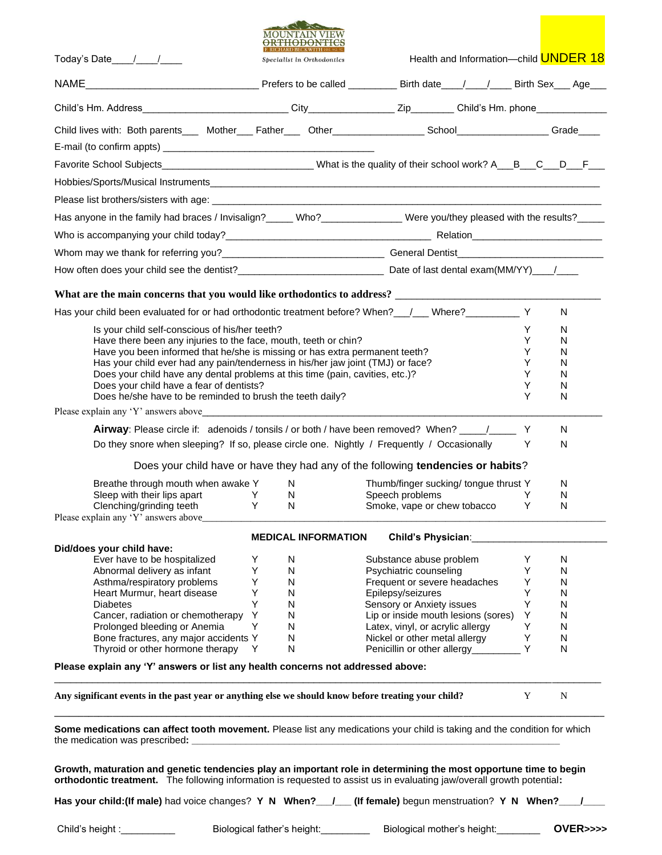|                                                                                                                                                                                                                                                                                                                                                      | MOUNTAIN VIEW<br><del>ORTHODONTIC</del>                                         |                                                                                                       |                   |
|------------------------------------------------------------------------------------------------------------------------------------------------------------------------------------------------------------------------------------------------------------------------------------------------------------------------------------------------------|---------------------------------------------------------------------------------|-------------------------------------------------------------------------------------------------------|-------------------|
| Today's Date / /                                                                                                                                                                                                                                                                                                                                     | Specialist in Orthodontics                                                      | Health and Information-child <b>UNDER 18</b>                                                          |                   |
|                                                                                                                                                                                                                                                                                                                                                      |                                                                                 |                                                                                                       |                   |
|                                                                                                                                                                                                                                                                                                                                                      |                                                                                 |                                                                                                       |                   |
| Child lives with: Both parents____ Mother___ Father____ Other________________School________________Grade____                                                                                                                                                                                                                                         |                                                                                 |                                                                                                       |                   |
|                                                                                                                                                                                                                                                                                                                                                      |                                                                                 |                                                                                                       |                   |
| Favorite School Subjects___________________________________What is the quality of their school work? A__B__C__D__F__                                                                                                                                                                                                                                 |                                                                                 |                                                                                                       |                   |
|                                                                                                                                                                                                                                                                                                                                                      |                                                                                 |                                                                                                       |                   |
|                                                                                                                                                                                                                                                                                                                                                      |                                                                                 |                                                                                                       |                   |
| Has anyone in the family had braces / Invisalign?_____ Who?_______________ Were you/they pleased with the results?____                                                                                                                                                                                                                               |                                                                                 |                                                                                                       |                   |
|                                                                                                                                                                                                                                                                                                                                                      |                                                                                 |                                                                                                       |                   |
|                                                                                                                                                                                                                                                                                                                                                      |                                                                                 |                                                                                                       |                   |
|                                                                                                                                                                                                                                                                                                                                                      |                                                                                 |                                                                                                       |                   |
|                                                                                                                                                                                                                                                                                                                                                      |                                                                                 |                                                                                                       |                   |
|                                                                                                                                                                                                                                                                                                                                                      |                                                                                 |                                                                                                       |                   |
| Has your child been evaluated for or had orthodontic treatment before? When?____/___ Where?_____________ Y                                                                                                                                                                                                                                           |                                                                                 |                                                                                                       | N                 |
| Is your child self-conscious of his/her teeth?                                                                                                                                                                                                                                                                                                       |                                                                                 |                                                                                                       | Y<br>N            |
| Have there been any injuries to the face, mouth, teeth or chin?                                                                                                                                                                                                                                                                                      |                                                                                 |                                                                                                       | Y<br>N            |
| Have you been informed that he/she is missing or has extra permanent teeth?<br>Has your child ever had any pain/tenderness in his/her jaw joint (TMJ) or face?                                                                                                                                                                                       |                                                                                 |                                                                                                       | Y<br>N<br>Y<br>N  |
| Does your child have any dental problems at this time (pain, cavities, etc.)?                                                                                                                                                                                                                                                                        |                                                                                 |                                                                                                       | Y<br>N            |
| Does your child have a fear of dentists?                                                                                                                                                                                                                                                                                                             |                                                                                 |                                                                                                       | Y<br>N            |
| Does he/she have to be reminded to brush the teeth daily?                                                                                                                                                                                                                                                                                            |                                                                                 |                                                                                                       | Y<br>N            |
| Please explain any 'Y' answers above the contract of the contract of the contract of the contract of the contract of the contract of the contract of the contract of the contract of the contract of the contract of the contr                                                                                                                       |                                                                                 |                                                                                                       |                   |
|                                                                                                                                                                                                                                                                                                                                                      |                                                                                 | <b>Airway</b> : Please circle if: adenoids / tonsils / or both / have been removed? When? _____/_____ | Y<br>N            |
| Do they snore when sleeping? If so, please circle one. Nightly / Frequently / Occasionally                                                                                                                                                                                                                                                           |                                                                                 |                                                                                                       | Y<br>N            |
|                                                                                                                                                                                                                                                                                                                                                      |                                                                                 | Does your child have or have they had any of the following tendencies or habits?                      |                   |
| Breathe through mouth when awake Y                                                                                                                                                                                                                                                                                                                   | N.                                                                              | Thumb/finger sucking/ tongue thrust Y                                                                 | N                 |
| Sleep with their lips apart<br><b>Example 19</b>                                                                                                                                                                                                                                                                                                     | N.                                                                              | Speech problems                                                                                       | Y<br>N            |
| Clenching/grinding teeth Y N<br>Please explain any 'Y' answers above_                                                                                                                                                                                                                                                                                |                                                                                 | Smoke, vape or chew tobacco                                                                           | Y<br>$\mathsf{N}$ |
|                                                                                                                                                                                                                                                                                                                                                      |                                                                                 |                                                                                                       |                   |
| Did/does your child have:                                                                                                                                                                                                                                                                                                                            | <b>MEDICAL INFORMATION</b>                                                      | Child's Physician:                                                                                    |                   |
| Ever have to be hospitalized                                                                                                                                                                                                                                                                                                                         | Υ<br>N                                                                          | Substance abuse problem                                                                               | Y<br>N            |
| Abnormal delivery as infant                                                                                                                                                                                                                                                                                                                          | Υ<br>N                                                                          | Psychiatric counseling                                                                                | Y<br>N            |
| Asthma/respiratory problems                                                                                                                                                                                                                                                                                                                          | Υ<br>N                                                                          | Frequent or severe headaches                                                                          | Υ<br>N            |
| Heart Murmur, heart disease                                                                                                                                                                                                                                                                                                                          | Y<br>N                                                                          | Epilepsy/seizures                                                                                     | Y<br>N            |
| <b>Diabetes</b><br>Cancer, radiation or chemotherapy                                                                                                                                                                                                                                                                                                 | Y<br>N<br>Y<br>N                                                                | Sensory or Anxiety issues                                                                             | Υ<br>N<br>Υ<br>N  |
| Prolonged bleeding or Anemia                                                                                                                                                                                                                                                                                                                         | Y<br>N                                                                          | Lip or inside mouth lesions (sores)<br>Latex, vinyl, or acrylic allergy                               | Υ<br>N            |
| Bone fractures, any major accidents Y                                                                                                                                                                                                                                                                                                                | N                                                                               | Nickel or other metal allergy                                                                         | Υ<br>N            |
| Thyroid or other hormone therapy                                                                                                                                                                                                                                                                                                                     | N<br>Y                                                                          | Penicillin or other allergy_                                                                          | Y<br>N            |
| Please explain any 'Y' answers or list any health concerns not addressed above:                                                                                                                                                                                                                                                                      |                                                                                 |                                                                                                       |                   |
| Any significant events in the past year or anything else we should know before treating your child?                                                                                                                                                                                                                                                  |                                                                                 |                                                                                                       | Y<br>N            |
| Some medications can affect tooth movement. Please list any medications your child is taking and the condition for which<br>the medication was prescribed:                                                                                                                                                                                           | <u> 1989 - Johann John Stone, mars eta berriamen eta biztanleria (h. 1989).</u> |                                                                                                       |                   |
| Growth, maturation and genetic tendencies play an important role in determining the most opportune time to begin<br>orthodontic treatment. The following information is requested to assist us in evaluating jaw/overall growth potential:<br>Has your child: (If male) had voice changes? Y N When?__/__ (If female) begun menstruation? Y N When?_ |                                                                                 |                                                                                                       |                   |

Child's height :\_\_\_\_\_\_\_\_\_\_ Biological father's height:\_\_\_\_\_\_\_\_\_ Biological mother's height:\_\_\_\_\_\_\_\_ **OVER>>>>**